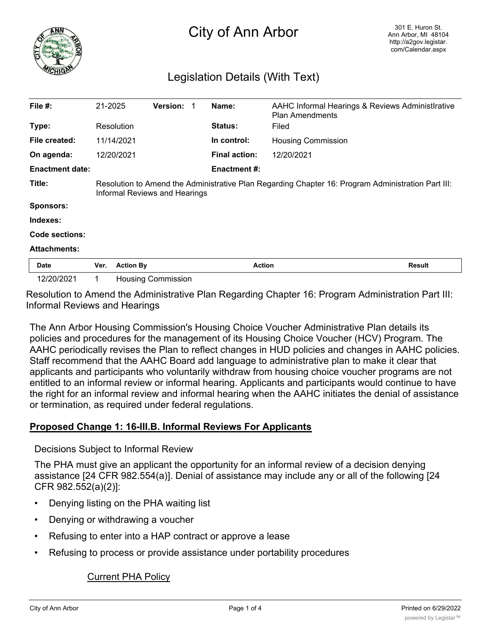

# City of Ann Arbor

# Legislation Details (With Text)

| File $#$ :             | 21-2025                                                                                                                             |                  | <b>Version: 1</b>  |  | Name:                | AAHC Informal Hearings & Reviews AdministIrative<br><b>Plan Amendments</b> |               |
|------------------------|-------------------------------------------------------------------------------------------------------------------------------------|------------------|--------------------|--|----------------------|----------------------------------------------------------------------------|---------------|
| Type:                  |                                                                                                                                     | Resolution       |                    |  | <b>Status:</b>       | Filed                                                                      |               |
| File created:          |                                                                                                                                     | 11/14/2021       |                    |  | In control:          | <b>Housing Commission</b>                                                  |               |
| On agenda:             |                                                                                                                                     | 12/20/2021       |                    |  | <b>Final action:</b> | 12/20/2021                                                                 |               |
| <b>Enactment date:</b> |                                                                                                                                     |                  |                    |  | <b>Enactment #:</b>  |                                                                            |               |
| Title:                 | Resolution to Amend the Administrative Plan Regarding Chapter 16: Program Administration Part III:<br>Informal Reviews and Hearings |                  |                    |  |                      |                                                                            |               |
| <b>Sponsors:</b>       |                                                                                                                                     |                  |                    |  |                      |                                                                            |               |
| Indexes:               |                                                                                                                                     |                  |                    |  |                      |                                                                            |               |
| <b>Code sections:</b>  |                                                                                                                                     |                  |                    |  |                      |                                                                            |               |
| <b>Attachments:</b>    |                                                                                                                                     |                  |                    |  |                      |                                                                            |               |
| <b>Date</b>            | Ver.                                                                                                                                | <b>Action By</b> |                    |  |                      | <b>Action</b>                                                              | <b>Result</b> |
| 12/20/2021             | 1.                                                                                                                                  |                  | Housing Commission |  |                      |                                                                            |               |

Resolution to Amend the Administrative Plan Regarding Chapter 16: Program Administration Part III: Informal Reviews and Hearings

The Ann Arbor Housing Commission's Housing Choice Voucher Administrative Plan details its policies and procedures for the management of its Housing Choice Voucher (HCV) Program. The AAHC periodically revises the Plan to reflect changes in HUD policies and changes in AAHC policies. Staff recommend that the AAHC Board add language to administrative plan to make it clear that applicants and participants who voluntarily withdraw from housing choice voucher programs are not entitled to an informal review or informal hearing. Applicants and participants would continue to have the right for an informal review and informal hearing when the AAHC initiates the denial of assistance or termination, as required under federal regulations.

#### **Proposed Change 1: 16-III.B. Informal Reviews For Applicants**

Decisions Subject to Informal Review

The PHA must give an applicant the opportunity for an informal review of a decision denying assistance [24 CFR 982.554(a)]. Denial of assistance may include any or all of the following [24 CFR 982.552(a)(2)]:

- Denying listing on the PHA waiting list
- Denying or withdrawing a voucher
- Refusing to enter into a HAP contract or approve a lease
- Refusing to process or provide assistance under portability procedures

#### Current PHA Policy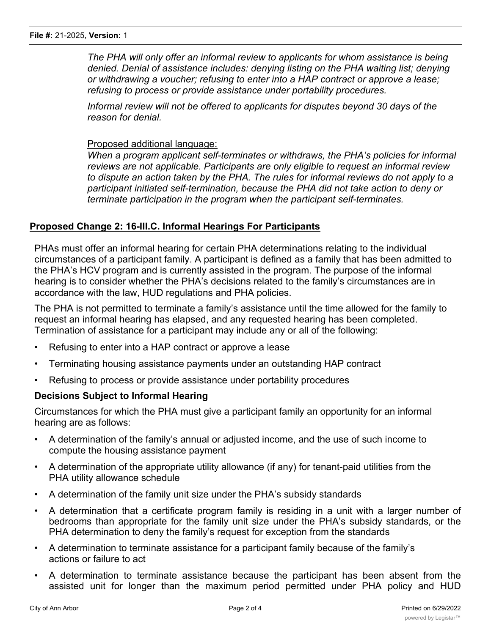*The PHA will only offer an informal review to applicants for whom assistance is being denied. Denial of assistance includes: denying listing on the PHA waiting list; denying or withdrawing a voucher; refusing to enter into a HAP contract or approve a lease; refusing to process or provide assistance under portability procedures.*

*Informal review will not be offered to applicants for disputes beyond 30 days of the reason for denial.*

#### Proposed additional language:

*When a program applicant self-terminates or withdraws, the PHA's policies for informal reviews are not applicable. Participants are only eligible to request an informal review to dispute an action taken by the PHA. The rules for informal reviews do not apply to a participant initiated self-termination, because the PHA did not take action to deny or terminate participation in the program when the participant self-terminates.*

# **Proposed Change 2: 16-III.C. Informal Hearings For Participants**

PHAs must offer an informal hearing for certain PHA determinations relating to the individual circumstances of a participant family. A participant is defined as a family that has been admitted to the PHA's HCV program and is currently assisted in the program. The purpose of the informal hearing is to consider whether the PHA's decisions related to the family's circumstances are in accordance with the law, HUD regulations and PHA policies.

The PHA is not permitted to terminate a family's assistance until the time allowed for the family to request an informal hearing has elapsed, and any requested hearing has been completed. Termination of assistance for a participant may include any or all of the following:

- Refusing to enter into a HAP contract or approve a lease
- Terminating housing assistance payments under an outstanding HAP contract
- Refusing to process or provide assistance under portability procedures

# **Decisions Subject to Informal Hearing**

Circumstances for which the PHA must give a participant family an opportunity for an informal hearing are as follows:

- A determination of the family's annual or adjusted income, and the use of such income to compute the housing assistance payment
- A determination of the appropriate utility allowance (if any) for tenant-paid utilities from the PHA utility allowance schedule
- A determination of the family unit size under the PHA's subsidy standards
- A determination that a certificate program family is residing in a unit with a larger number of bedrooms than appropriate for the family unit size under the PHA's subsidy standards, or the PHA determination to deny the family's request for exception from the standards
- A determination to terminate assistance for a participant family because of the family's actions or failure to act
- A determination to terminate assistance because the participant has been absent from the assisted unit for longer than the maximum period permitted under PHA policy and HUD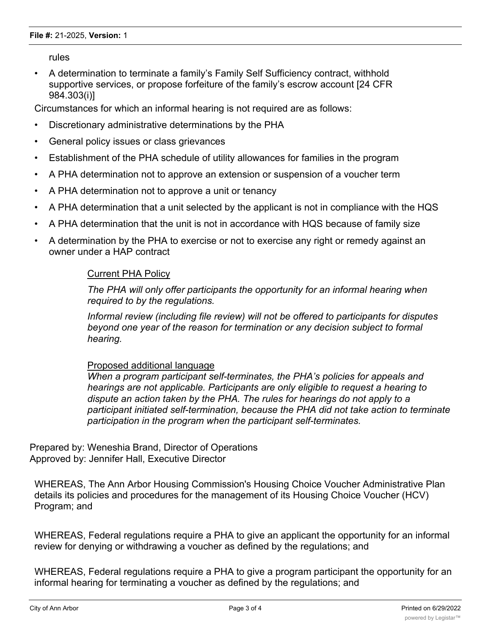rules

• A determination to terminate a family's Family Self Sufficiency contract, withhold supportive services, or propose forfeiture of the family's escrow account [24 CFR 984.303(i)]

Circumstances for which an informal hearing is not required are as follows:

- Discretionary administrative determinations by the PHA
- General policy issues or class grievances
- Establishment of the PHA schedule of utility allowances for families in the program
- A PHA determination not to approve an extension or suspension of a voucher term
- A PHA determination not to approve a unit or tenancy
- A PHA determination that a unit selected by the applicant is not in compliance with the HQS
- A PHA determination that the unit is not in accordance with HQS because of family size
- A determination by the PHA to exercise or not to exercise any right or remedy against an owner under a HAP contract

# Current PHA Policy

*The PHA will only offer participants the opportunity for an informal hearing when required to by the regulations.*

*Informal review (including file review) will not be offered to participants for disputes beyond one year of the reason for termination or any decision subject to formal hearing.*

#### Proposed additional language

*When a program participant self-terminates, the PHA's policies for appeals and hearings are not applicable. Participants are only eligible to request a hearing to dispute an action taken by the PHA. The rules for hearings do not apply to a participant initiated self-termination, because the PHA did not take action to terminate participation in the program when the participant self-terminates.*

Prepared by: Weneshia Brand, Director of Operations Approved by: Jennifer Hall, Executive Director

WHEREAS, The Ann Arbor Housing Commission's Housing Choice Voucher Administrative Plan details its policies and procedures for the management of its Housing Choice Voucher (HCV) Program; and

WHEREAS, Federal regulations require a PHA to give an applicant the opportunity for an informal review for denying or withdrawing a voucher as defined by the regulations; and

WHEREAS, Federal regulations require a PHA to give a program participant the opportunity for an informal hearing for terminating a voucher as defined by the regulations; and